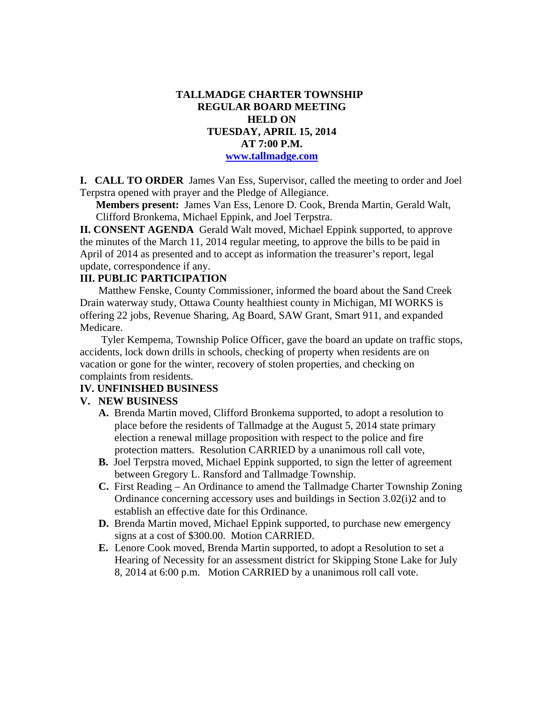# **TALLMADGE CHARTER TOWNSHIP REGULAR BOARD MEETING HELD ON TUESDAY, APRIL 15, 2014 AT 7:00 P.M. www.tallmadge.com**

**I. CALL TO ORDER** James Van Ess, Supervisor, called the meeting to order and Joel Terpstra opened with prayer and the Pledge of Allegiance.

**Members present:** James Van Ess, Lenore D. Cook, Brenda Martin, Gerald Walt, Clifford Bronkema, Michael Eppink, and Joel Terpstra.

**II. CONSENT AGENDA** Gerald Walt moved, Michael Eppink supported, to approve the minutes of the March 11, 2014 regular meeting, to approve the bills to be paid in April of 2014 as presented and to accept as information the treasurer's report, legal update, correspondence if any.

### **III. PUBLIC PARTICIPATION**

Matthew Fenske, County Commissioner, informed the board about the Sand Creek Drain waterway study, Ottawa County healthiest county in Michigan, MI WORKS is offering 22 jobs, Revenue Sharing, Ag Board, SAW Grant, Smart 911, and expanded Medicare.

Tyler Kempema, Township Police Officer, gave the board an update on traffic stops, accidents, lock down drills in schools, checking of property when residents are on vacation or gone for the winter, recovery of stolen properties, and checking on complaints from residents.

### **IV. UNFINISHED BUSINESS**

### **V. NEW BUSINESS**

- **A.** Brenda Martin moved, Clifford Bronkema supported, to adopt a resolution to place before the residents of Tallmadge at the August 5, 2014 state primary election a renewal millage proposition with respect to the police and fire protection matters. Resolution CARRIED by a unanimous roll call vote,
- **B.** Joel Terpstra moved, Michael Eppink supported, to sign the letter of agreement between Gregory L. Ransford and Tallmadge Township.
- **C.** First Reading An Ordinance to amend the Tallmadge Charter Township Zoning Ordinance concerning accessory uses and buildings in Section 3.02(i)2 and to establish an effective date for this Ordinance.
- **D.** Brenda Martin moved, Michael Eppink supported, to purchase new emergency signs at a cost of \$300.00. Motion CARRIED.
- **E.** Lenore Cook moved, Brenda Martin supported, to adopt a Resolution to set a Hearing of Necessity for an assessment district for Skipping Stone Lake for July 8, 2014 at 6:00 p.m. Motion CARRIED by a unanimous roll call vote.